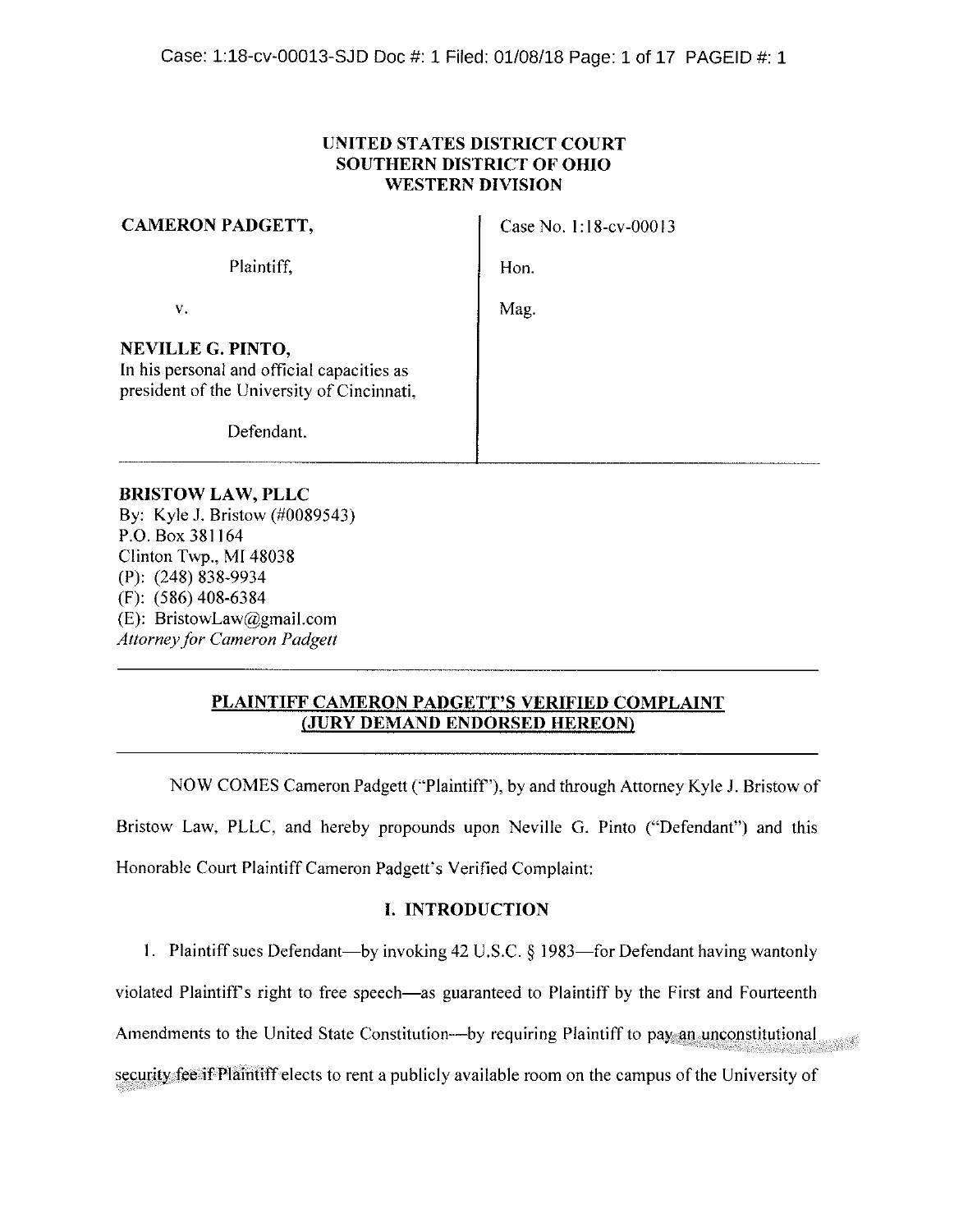# **UNITED STATES DISTRICT COURT SOUTHERN DISTRICT OF OHIO WESTERN DIVISION**

| <b>CAMERON PADGETT,</b>                                                                                       | Case No. 1:18-cv-00013 |
|---------------------------------------------------------------------------------------------------------------|------------------------|
| Plaintiff,                                                                                                    | Hon.                   |
| v.                                                                                                            | Mag.                   |
| NEVILLE G. PINTO,<br>In his personal and official capacities as<br>president of the University of Cincinnati, |                        |
| Defendant.                                                                                                    |                        |

### **BRISTOW LAW, PLLC**

By: Kyle J. Bristow (#0089543) P.O. Box 381164 Clinton Twp., MI 48038  $(P)$ : (248) 838-9934  $(F): (586) 408-6384$ (E): BristowLaw@gmail.com **Attorney for Cameron Padgett** 

# PLAINTIFF CAMERON PADGETT'S VERIFIED COMPLAINT (JURY DEMAND ENDORSED HEREON)

NOW COMES Cameron Padgett ("Plaintiff"), by and through Attorney Kyle J. Bristow of Bristow Law, PLLC, and hereby propounds upon Neville G. Pinto ("Defendant") and this Honorable Court Plaintiff Cameron Padgett's Verified Complaint:

## **I. INTRODUCTION**

1. Plaintiff sues Defendant—by invoking 42 U.S.C. § 1983—for Defendant having wantonly

violated Plaintiff's right to free speech—as guaranteed to Plaintiff by the First and Fourteenth

Amendments to the United State Constitution—by requiring Plaintiff to pay an unconstitutional

security fee if Plaintiff elects to rent a publicly available room on the campus of the University of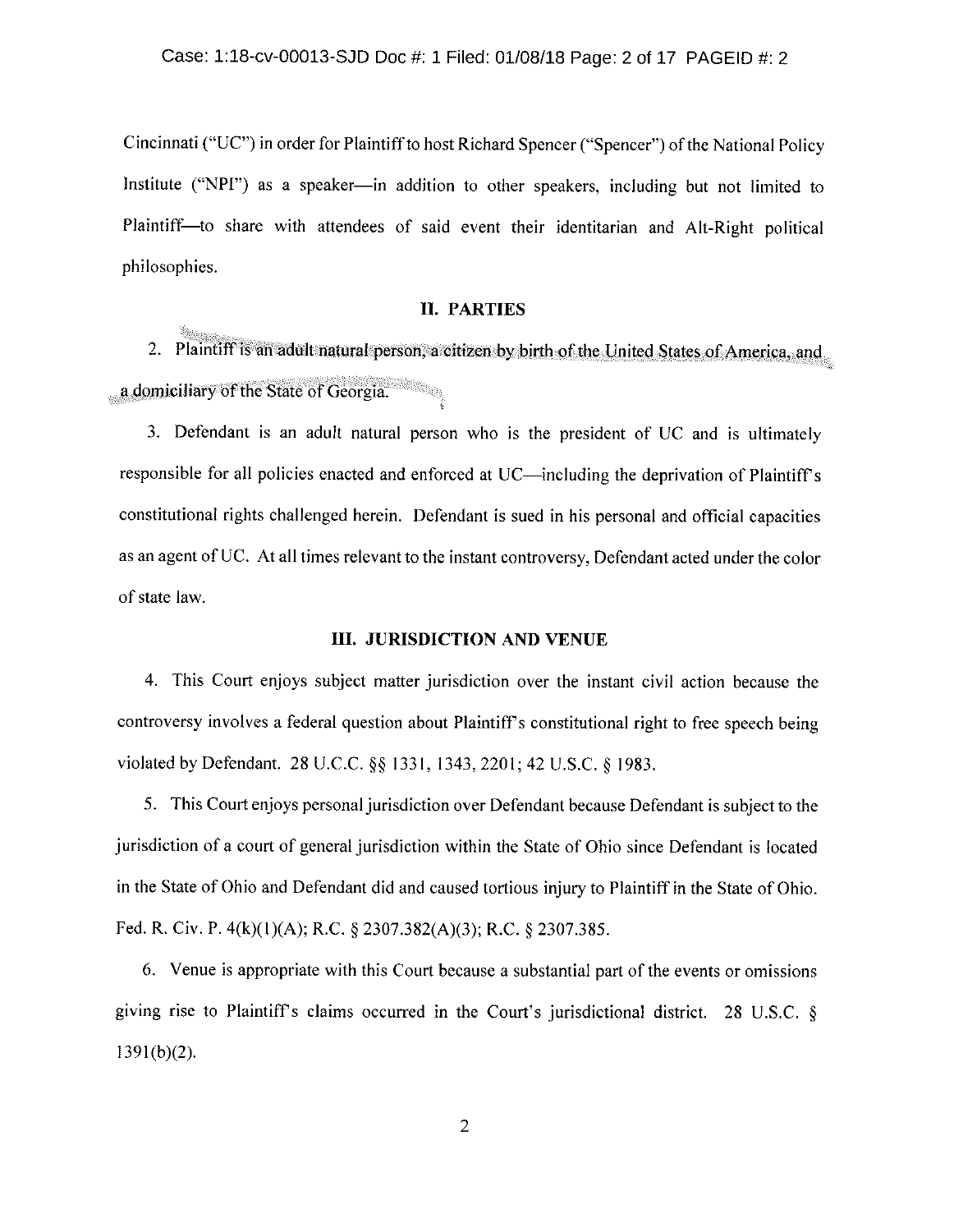Cincinnati ("UC") in order for Plaintiff to host Richard Spencer ("Spencer") of the National Policy Institute ("NPI") as a speaker—in addition to other speakers, including but not limited to Plaintiff—to share with attendees of said event their identitarian and Alt-Right political philosophies.

### 11. PARTIES

2. Plaintiff is an adult natural person, a citizen by birth of the United States of America. and a domiciliary of the State of Georgia.

3. Defendant is an adult natural person who is the president of UC and is ultimately responsible for all policies enacted and enforced at UC—including the deprivation of Plaintiff's constitutional rights challenged herein. Defendant is sued in his personal and official capacities as an agent of UC. At all times relevant to the instant controversy, Defendant acted under the color of state law.

#### III. JURISDICTION AND VENUE

4. This Court enjoys subject matter jurisdiction over the instant civil action because the controversy involves a federal question about Plaintiff's constitutional right to free speech being violated by Defendant. 28 U.C.C. §§ 1331, 1343, 2201; 42 U.S.C. § 1983.

5. This Court enjoys personal jurisdiction over Defendant because Defendant is subject to the jurisdiction of a court of general jurisdiction within the State of Ohio since Defendant is located in the State of Ohio and Defendant did and caused tortious injury to Plaintiff in the State of Ohio. Fed. R. Civ. P.  $4(k)(1)(A)$ ; R.C.  $\S$  2307.382(A)(3); R.C.  $\S$  2307.385.

6. Venue is appropriate with this Court because a substantial part of the events or omissions giving rise to Plaintiff's claims occurred in the Court's jurisdictional district. 28 U.S.C.  $\S$  $1391(b)(2)$ .

2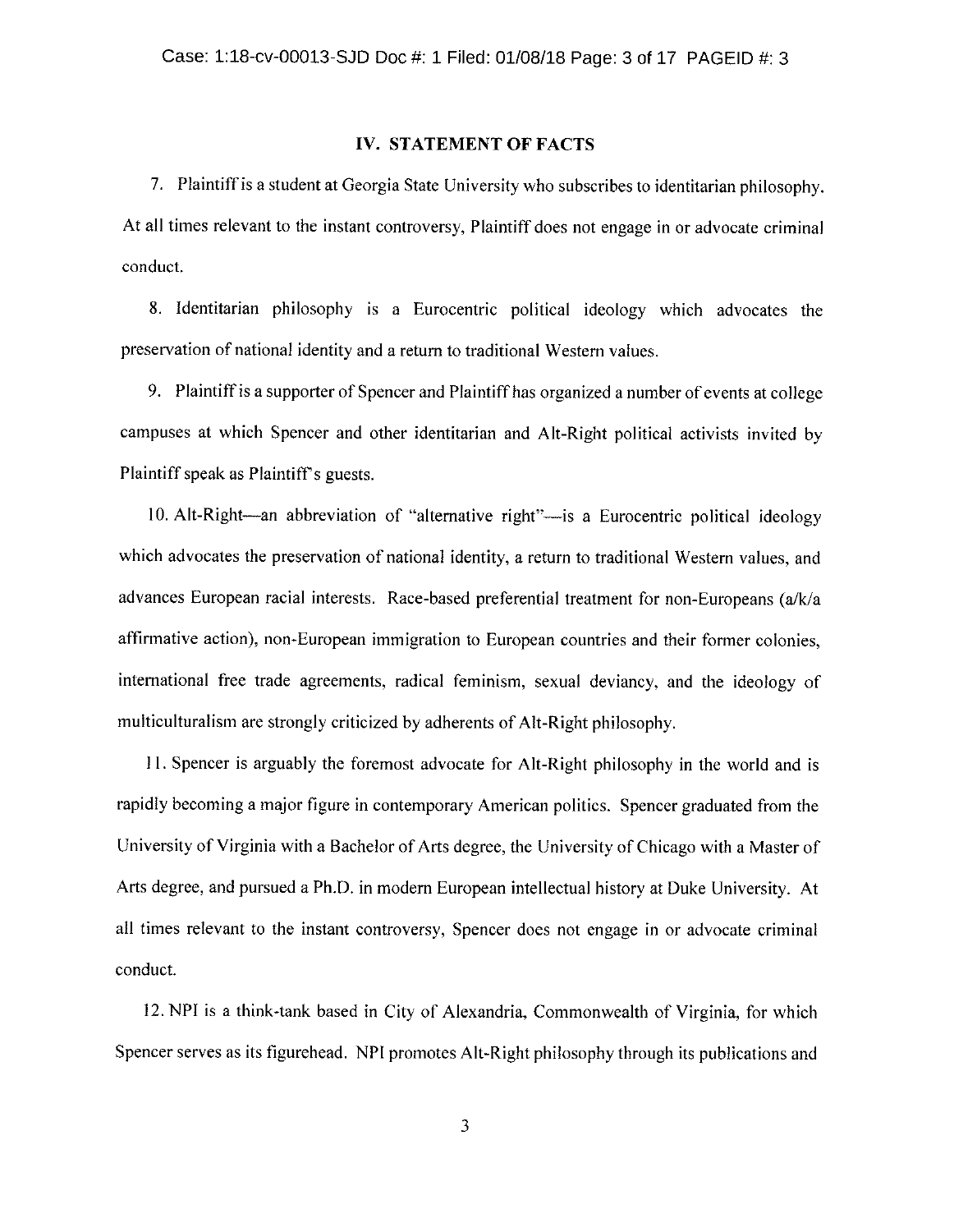#### IV. STATEMENT OF FACTS

7. Plaintiff is a student at Georgia State University who subscribes to identitarian philosophy. At all times relevant to the instant controversy, Plaintiff does not engage in or advocate criminal conduct.

8. Identitarian philosophy is a Eurocentric political ideology which advocates the preservation of national identity and a return to traditional Western values.

9. Plaintiff is a supporter of Spencer and Plaintiff has organized a number of events at college campuses at which Spencer and other identitarian and Alt-Right political activists invited by Plaintiff speak as Plaintiff's guests.

10. Alt-Right—an abbreviation of "alternative right"—is a Eurocentric political ideology which advocates the preservation of national identity, a return to traditional Western values, and advances European racial interests. Race-based preferential treatment for non-Europeans (a/k/a affirmative action), non-European immigration to European countries and their former colonies, international free trade agreements, radical feminism, sexual deviancy, and the ideology of multiculturalism are strongly criticized by adherents of Alt-Right philosophy.

11. Spencer is arguably the foremost advocate for Alt-Right philosophy in the world and is rapidly becoming a major figure in contemporary American politics. Spencer graduated from the University of Virginia with a Bachelor of Arts degree, the University of Chicago with a Master of Arts degree, and pursued a Ph.D. in modern European intellectual history at Duke University. At all times relevant to the instant controversy, Spencer does not engage in or advocate criminal conduct.

12. NPI is a think-tank based in City of Alexandria, Commonwealth of Virginia, for which Spencer serves as its figurehead. NPI promotes Alt-Right philosophy through its publications and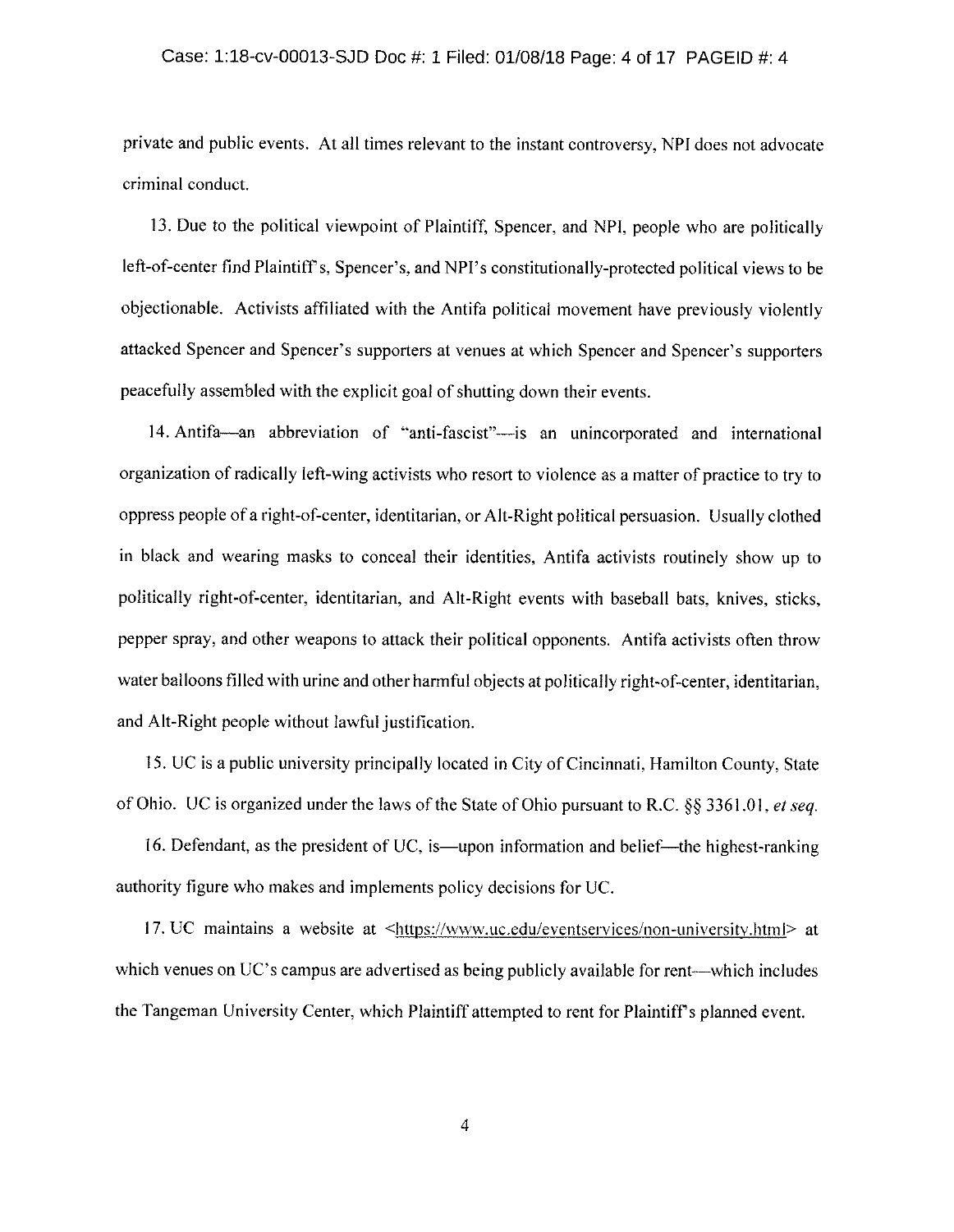# Case: 1:18-cv-00013-SJD Doc #: 1 Filed: 01/08/18 Page: 4 of 17 PAGEID #: 4

private and public events. At all times relevant to the instant controversy, NPI does not advocate criminal conduct.

13. Due to the political viewpoint of Plaintiff, Spencer, and NPI, people who are politically left-of-center find Plaintiff's, Spencer's, and NPI's constitutionally-protected political views to be objectionable. Activists affiliated with the Antifa political movement have previously violently attacked Spencer and Spencer's supporters at venues at which Spencer and Spencer's supporters peacefully assembled with the explicit goal of shutting down their events.

14. Antifa—an abbreviation of "anti-fascist"—is an unincorporated and international organization of radically left-wing activists who resort to violence as a matter of practice to try to oppress people of a right-of-center, identitarian, or Alt-Right political persuasion. Usually clothed in black and wearing masks to conceal their identities. Antifa activists routinely show up to politically right-of-center, identitarian, and Alt-Right events with baseball bats, knives, sticks, pepper spray, and other weapons to attack their political opponents. Antifa activists often throw water balloons filled with urine and other harmful objects at politically right-of-center, identitarian, and Alt-Right people without lawful justification.

15. UC is a public university principally located in City of Cincinnati, Hamilton County, State of Ohio. UC is organized under the laws of the State of Ohio pursuant to R.C.  $\S$ § 3361.01, et seq.

16. Defendant, as the president of UC, is—upon information and belief—the highest-ranking authority figure who makes and implements policy decisions for UC.

17. UC maintains a website at  $\langle \frac{https://www.uc.edu/eventservices/non-university.html \rangle$  at which venues on UC's campus are advertised as being publicly available for rent—which includes the Tangeman University Center, which Plaintiff attempted to rent for Plaintiff's planned event.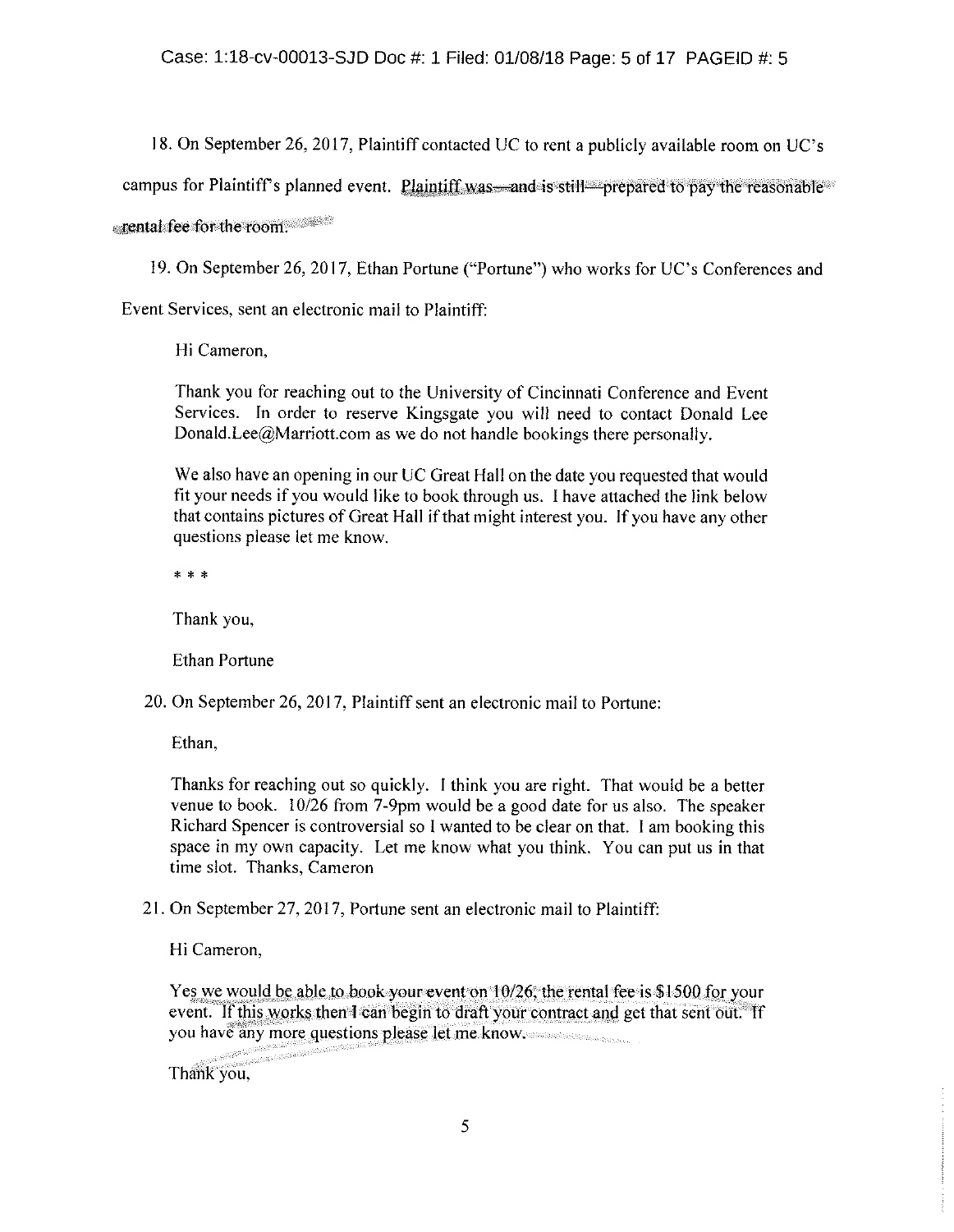18. On September 26, 2017, Plaintiff contacted UC to rent a publicly available room on UC's

campus for Plaintiff's planned event. Plaintiff was and is still prepared to pay the reasonable

rental fee for the room.

19. On September 26, 2017, Ethan Portune ("Portune") who works for UC's Conferences and

Event Services, sent an electronic mail to Plaintiff:

Hi Cameron,

Thank you for reaching out to the University of Cincinnati Conference and Event Services. In order to reserve Kingsgate you will need to contact Donald Lee Donald Lee  $\omega$  Marriott.com as we do not handle bookings there personally.

We also have an opening in our UC Great Hall on the date you requested that would fit your needs if you would like to book through us. I have attached the link below. that contains pictures of Great Hall if that might interest you. If you have any other questions please let me know.

\* \* \*

Thank you.

**Ethan Portune** 

20. On September 26, 2017, Plaintiff sent an electronic mail to Portune:

Ethan,

Thanks for reaching out so quickly. I think you are right. That would be a better venue to book.  $10/26$  from 7-9pm would be a good date for us also. The speaker Richard Spencer is controversial so I wanted to be clear on that. I am booking this space in my own capacity. Let me know what you think. You can put us in that time slot. Thanks, Cameron

21. On September 27, 2017, Portune sent an electronic mail to Plaintiff:

Hi Cameron,

Yes we would be able to book your event on 10/26, the rental fee is \$1500 for your event. If this works then I can begin to draft your contract and get that sent out. If you have any more questions please let me know.

Thank you,

anan<br>Mulaisip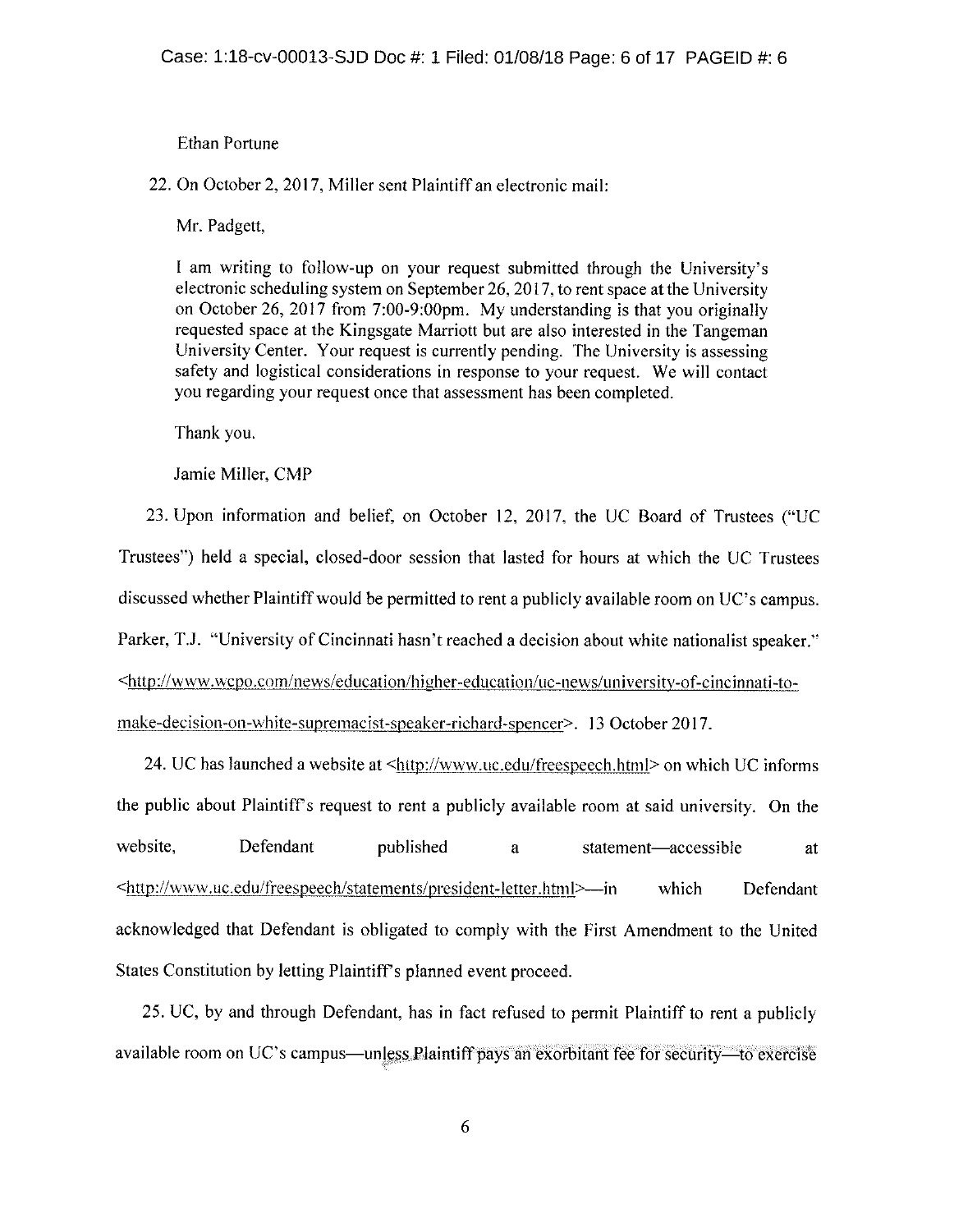#### Ethan Portune

22. On October 2, 2017, Miller sent Plaintiff an electronic mail:

Mr. Padgett,

I am writing to follow-up on your request submitted through the University's electronic scheduling system on September 26, 2017, to rent space at the University on October 26, 2017 from  $7:00-9:00$  pm. My understanding is that you originally requested space at the Kingsgate Marriott hut are also interested in the Tangeman University Center. Your request is currently pending. The University is assessing safety and logistical considerations in response to your request. We will contact you regarding your request once that assessment has been completed.

Thank you.

Jamie Miller, CMP

23. Upon information and belief, on October 12, 2017, the UC Board of Trustees ("UC Trustees") held a special, closed-door session that lasted for hours at which the UC Trustees discussed whether Plaintiff would be permitted to rent a publicly available room on UC's campus. Parker, T.J. "University of Cincinnati hasn't reached a decision about white nationalist speaker." http://www.wcpo.com/news/education/higher-education/uc-news/university-of-cincinnati-tomake-decision-on-white-supremacist-speaker-richard-spencer>. 13 October 2017.

24. UC has launched a website at  $\langle$ http://www.uc.edu/freespeech.html> on which UC informs the public about Plaintiff's request to rent a publicly available room at said university. On the website, Defendant published a statement—accessible at \ttp://www.uc.edu/freespeech/statements/president-letter.html>---in which Defendant acknowledged that Defendant is obligated to comply with the First Amendment to the United States Constitution by letting Plaintiff's planned event proceed.

25, UC, by and through Defendant, has in fact refused to permit Plaintiff to rent a publicly available room on UC's campus—unless Plaintiff pays an exorbitant fee for security—to exercise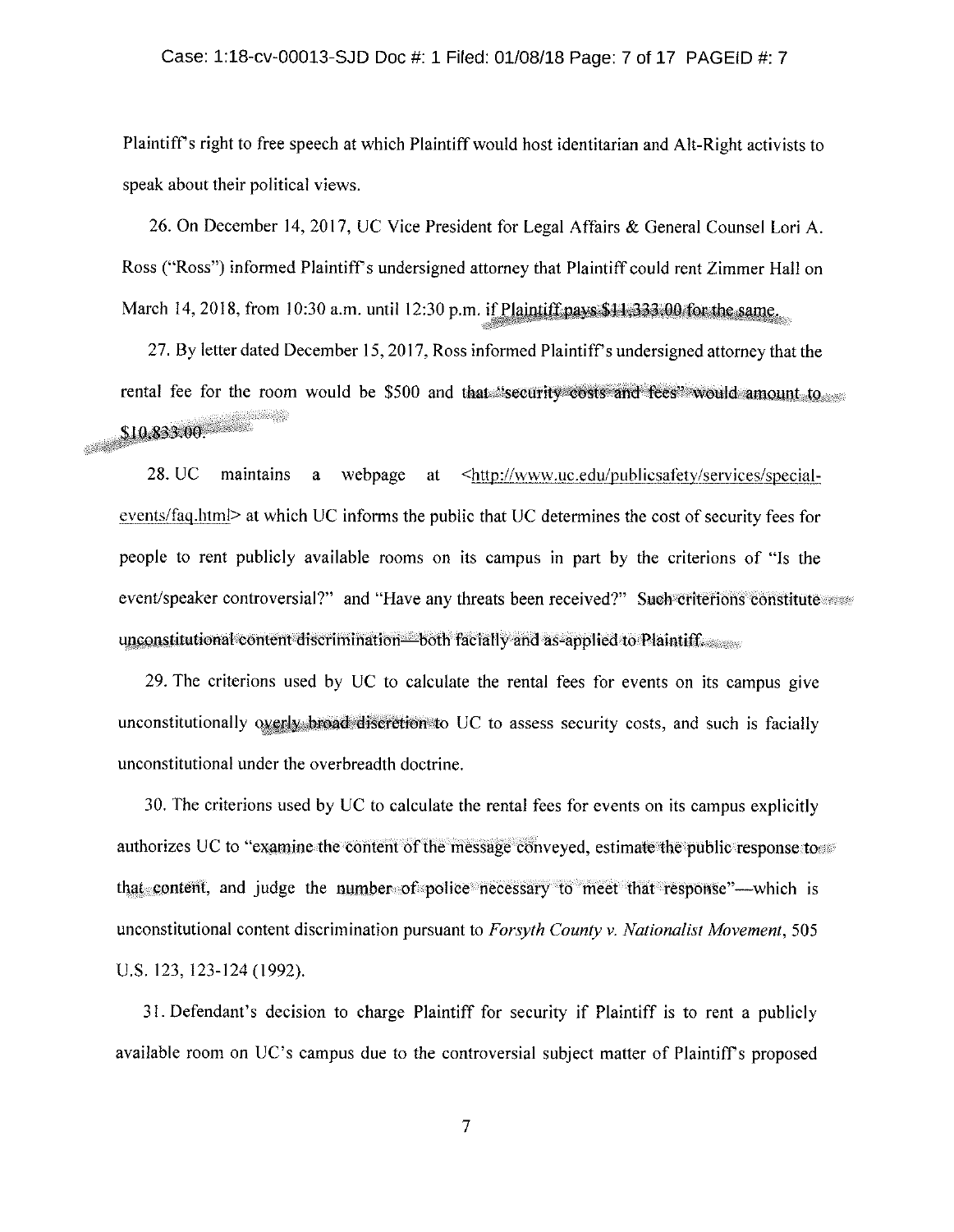Plaintiff's right to free speech at which Plaintiff would host identitarian and Alt-Right activists to speak about their political views.

26. On December 14, 2017, UC Vice President for Legal Affairs & General Counsel Lori A. Ross ("Ross") informed Plaintiff's undersigned attorney that Plaintiff could rent Zimmer Hall on March 14, 2018, from 10:30 a.m. until 12:30 p.m. if Plaintiff pays \$11,333.00 for the same.

27. By letter dated December 15, 2017, Ross informed Plaintiff's undersigned attorney that the rental fee for the room would be \$500 and that "security costs and fees" would amount to \$10.833.00. 

28. UC maintains a webpage at <http://www.uc.edu/publicsafety/services/specialevents/faq.html> at which UC informs the public that UC determines the cost of security fees for people to rent publicly available rooms on its campus in part by the criterions of "Is the event/speaker controversial?" and "Have any threats been received?" Such criterions constitute unconstitutional content discrimination—both facially and as-applied to Plaintiff.

29. The criterions used by UC to calculate the rental fees for events on its campus give unconstitutionally overly broad discretion to UC to assess security costs, and such is facially unconstitutional under the overbreadth doctrine.

30. The criterions used by UC to calculate the rental fees for events on its campus explicitly authorizes UC to "examine the content of the message conveyed, estimate the public response to that content, and judge the number of police necessary to meet that response"—which is unconstitutional content discrimination pursuant to Forsyth County v. Nationalist Movement, 505 U.S. 123, 123-124 (1992).

31. Defendant's decision to charge Plaintiff for security if Plaintiff is to rent a publicly available room on UC's campus due to the controversial subject matter of Plaintiff's proposed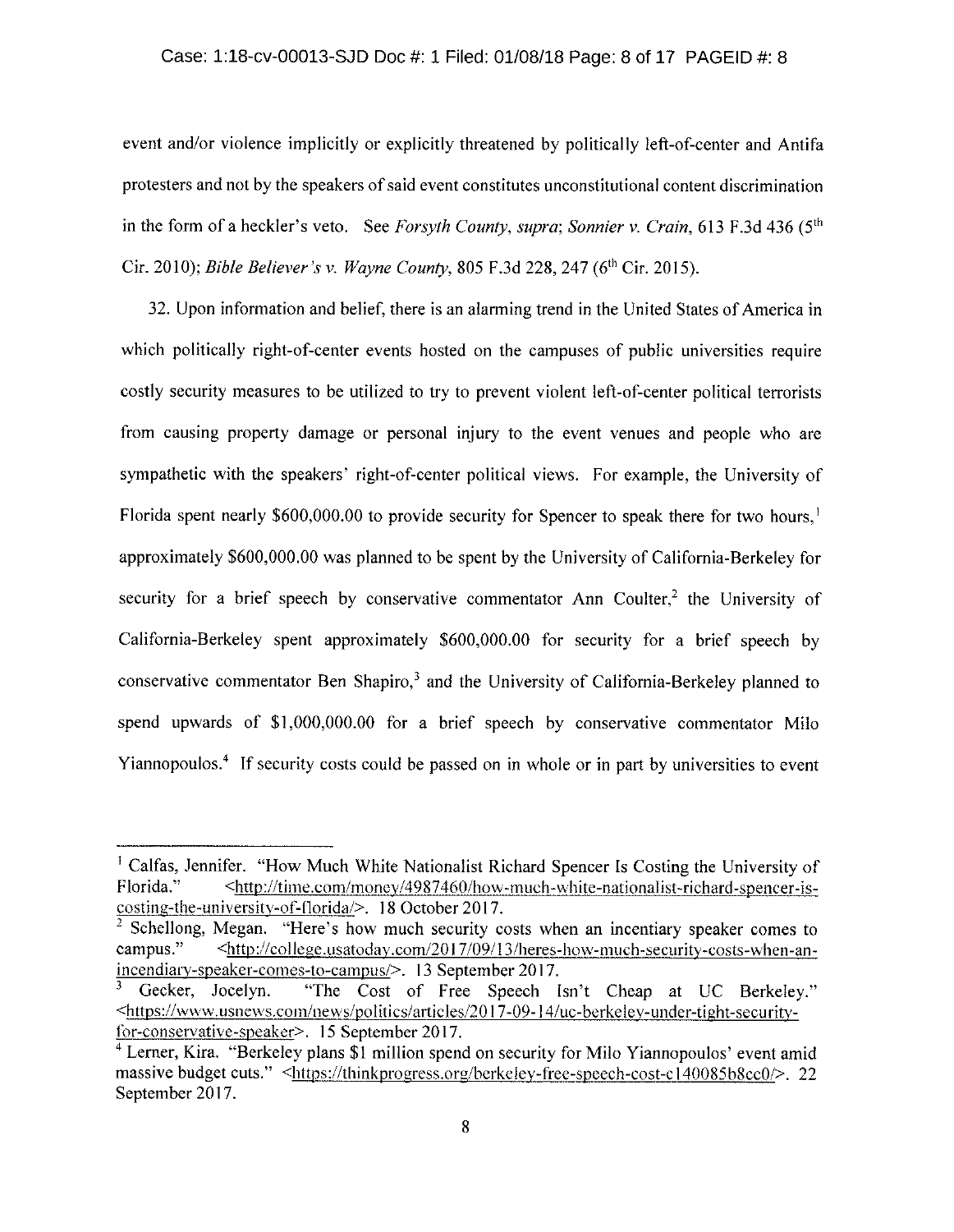### Case: 1:18-cv-00013-SJD Doc #: 1 Filed: 01/08/18 Page: 8 of 17 PAGEID #: 8

event and/or violence implicitly or explicitly threatened by politically left-of-center and Antifa protesters and not by the speakers of said event constitutes unconstitutional content discrimination in the form of a heckler's veto. See Forsyth County, supra; Sonnier v. Crain, 613 F.3d 436 (5<sup>th</sup>) Cir. 2010); Bible Believer's v. Wayne County, 805 F.3d 228, 247 (6<sup>th</sup> Cir. 2015).

32. Upon information and belief, there is an alarming trend in the United States of America in which politically right-of-center events hosted on the campuses of public universities require costly security measures to be utilized to try to prevent violent left-of-center political terrorists from causing property damage or personal injury to the event venues and people who are sympathetic with the speakers' right-of-center political views. For example, the University of Florida spent nearly \$600,000.00 to provide security for Spencer to speak there for two hours.<sup>1</sup> approximately \$600,000.00 was planned to be spent by the University of California-Berkeley for security for a brief speech by conservative commentator Ann Coulter,<sup>2</sup> the University of California-Berkeley spent approximately \$600,000.00 for security for a brief speech by conservative commentator Ben Shapiro,<sup>3</sup> and the University of California-Berkeley planned to spend upwards of \$1,000,000.00 for a brief speech by conservative commentator Milo Yiannopoulos.<sup>4</sup> If security costs could be passed on in whole or in part by universities to event

<sup>&</sup>lt;sup>1</sup> Calfas, Jennifer. "How Much White Nationalist Richard Spencer Is Costing the University of <http://time.com/money/4987460/how-much-white-nationalist-richard-spencer-is-Florida." costing-the-university-of-florida/>. 18 October 2017.

<sup>&</sup>lt;sup>2</sup> Schellong, Megan. "Here's how much security costs when an incentiary speaker comes to campus." <http://college.usatoday.com/2017/09/13/heres-how-much-security-costs-when-anincendiary-speaker-comes-to-campus/>. 13 September 2017.

Gecker, Jocelyn. "The Cost of Free Speech Isn't Cheap at UC Berkeley." <https://www.usnews.com/news/politics/articles/2017-09-14/uc-berkeley-under-tight-securityfor-conservative-speaker>. 15 September 2017.

<sup>&</sup>lt;sup>4</sup> Lerner, Kira. "Berkeley plans \$1 million spend on security for Milo Yiannopoulos' event amid massive budget cuts." <https://thinkprogress.org/berkeley-free-speech-cost-c140085b8cc0/>. 22 September 2017.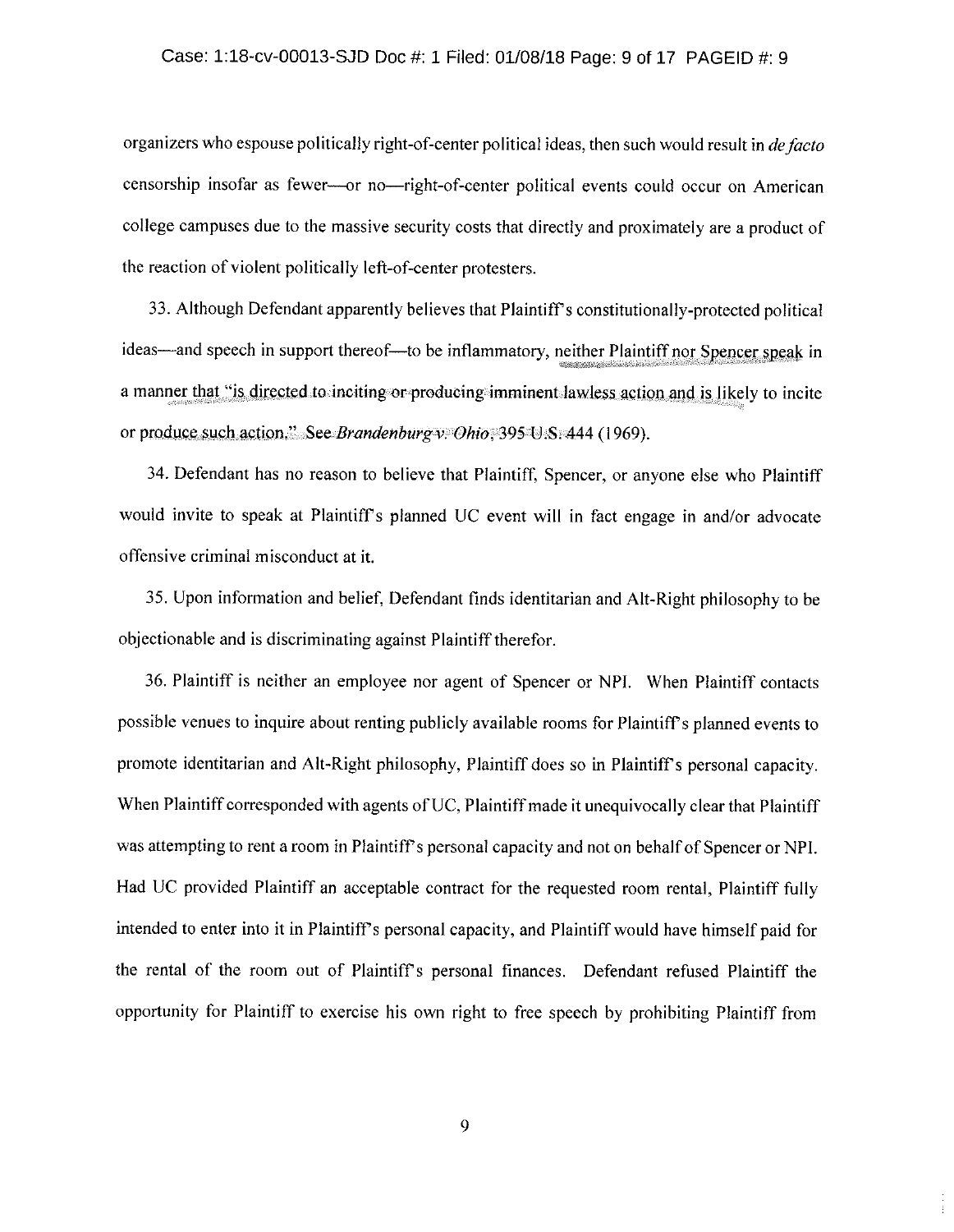# Case: 1:18-cv-00013-SJD Doc #: 1 Filed: 01/08/18 Page: 9 of 17 PAGEID #: 9

organizers who espouse politically right-of-center political ideas, then such would result in de facto censorship insofar as fewer----or no----right-of-center political events could occur on American college campuses due to the massive security costs that directly and proximately are a product of the reaction of violent politically left-of-center protesters.

33. Although Defendant apparently believes that Plaintiff's constitutionally-protected political ideas—and speech in support thereof—to be inflammatory, neither Plaintiff nor Spencer speak in a manner that "is directed to inciting or producing imminent lawless action and is likely to incite or produce such action." See Brandenburg v. Ohio. 395 U.S. 444 (1969).

34. Defendant has no reason to believe that Plaintiff, Spencer, or anyone else who Plaintiff would invite to speak at Plaintiff's planned UC event will in fact engage in and/or advocate offensive criminal misconduct at it.

35. Upon information and belief, Defendant finds identitarian and Alt-Right philosophy to be objectionable and is discriminating against Plaintiff therefor.

36. Plaintiff is neither an employee nor agent of Spencer or NPI. When Plaintiff contacts possible venues to inquire about renting publicly available rooms for Plaintiff's planned events to promote identitarian and Alt-kight philosophy. Plaintiff does so in Plaintiff's personal capacity. When Plaintiff corresponded with agents of UC, Plaintiff made it unequivocally clear that Plaintiff was attempting to rent a room in Plaintiff's personal capacity and not on behalf of Spencer or NPI. Had UC provided Plaintiff an acceptable contract for the requested room rental, Plaintiff fully intended to enter into it in Plaintiff's personal capacity, and Plaintiff would have himself paid for the rental of the room out of Plaintiff's personal finances. Defendant refused Plaintiff the opportunity for Plaintiff to exercise his own right to free speech by prohibiting Plaintiff from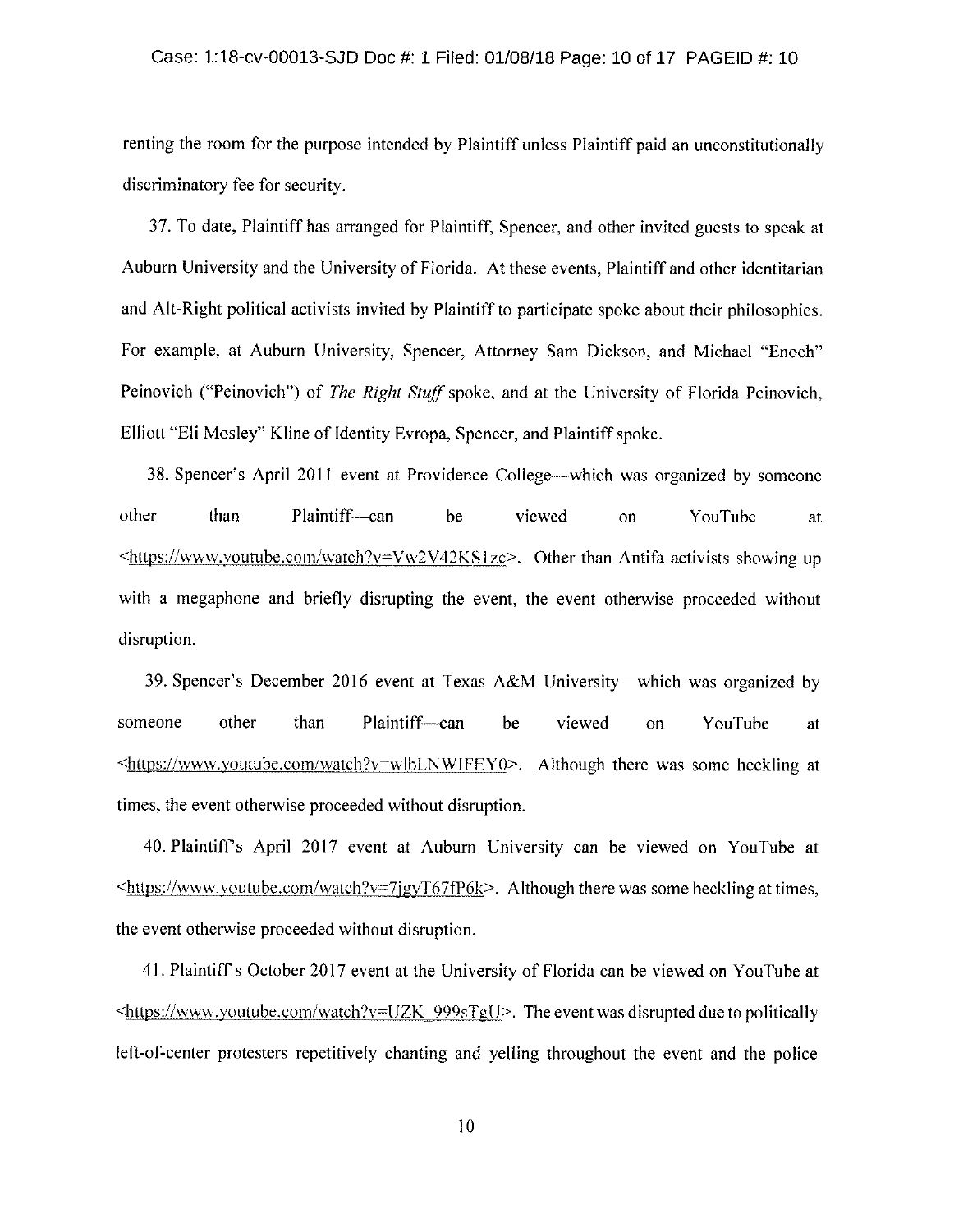# Case: 1:18-cv-00013-SJD Doc #: 1 Filed: 01/08/18 Page: 10 of 17 PAGEID #: 10

renting the room for the purpose intended by Plaintiff unless Plaintiff paid an unconstitutionally discriminatory fee for security.

37. To date, Plaintiff has arranged for Plaintiff, Spencer, and other invited guests to speak at Auburn University and the University of Florida. At these events, Plaintiff and other identitarian and Alt-Right political activists invited by Plaintiff to participate spoke about their philosophies. For example, at Auburn University, Spencer, Attorney Sam Dickson, and Michael "Enoch" Peinovich ("Peinovich") of The Right Stuff spoke, and at the University of Florida Peinovich, Elliott "Eli Mosley" Kline of Identity Evropa, Spencer, and Plaintiff spoke.

38. Spencer's April 2011 event at Providence College—which was organized by someone other than Plaintiff—can be viewed on YouTube at  $\frac{1}{100}$  -thttps://www.youtube.com/watch?v=Vw2V42KS1zc>. Other than Antifa activists showing up with a megaphone and briefly disrupting the event, the event otherwise proceeded without disruption.

39. Spencer's December 2016 event at Texas A&M University—which was organized by someone other than Plaintiff-can be viewed on YouTube at  $\frac{\text{th}}{\text{t}}/ \text{www. youtube.com/watch?v=wlbLNWIFEY0>}.$  Although there was some heckling at times, the event otherwise proceeded without disruption.

40. Plaintiff's April 2017 event at Auburn University can be viewed on YouTube at  $\frac{\text{th}}{\text{t}}$  -  $\frac{\text{th}}{\text{t}}}{\text{t}}$  this:  $\frac{\text{t}}{\text{t}}$  and  $\frac{\text{t}}{\text{t}}$  and  $\frac{\text{t}}{\text{t}}}{\text{t}}$  = 7 $\frac{\text{t}}{\text{t}}$  7 $\frac{\text{t}}{\text{t}}}{\text{t}}$  at times, the event otherwise proceeded without disruption.

41. Plaintiff's October 2017 event at the University of Florida can be viewed on YouTube at  $\le$ https://www.youtube.com/watch?v=UZK 999sTgU>. The event was disrupted due to politically left-of-center protesters repetitively chanting and yelling throughout the event and the police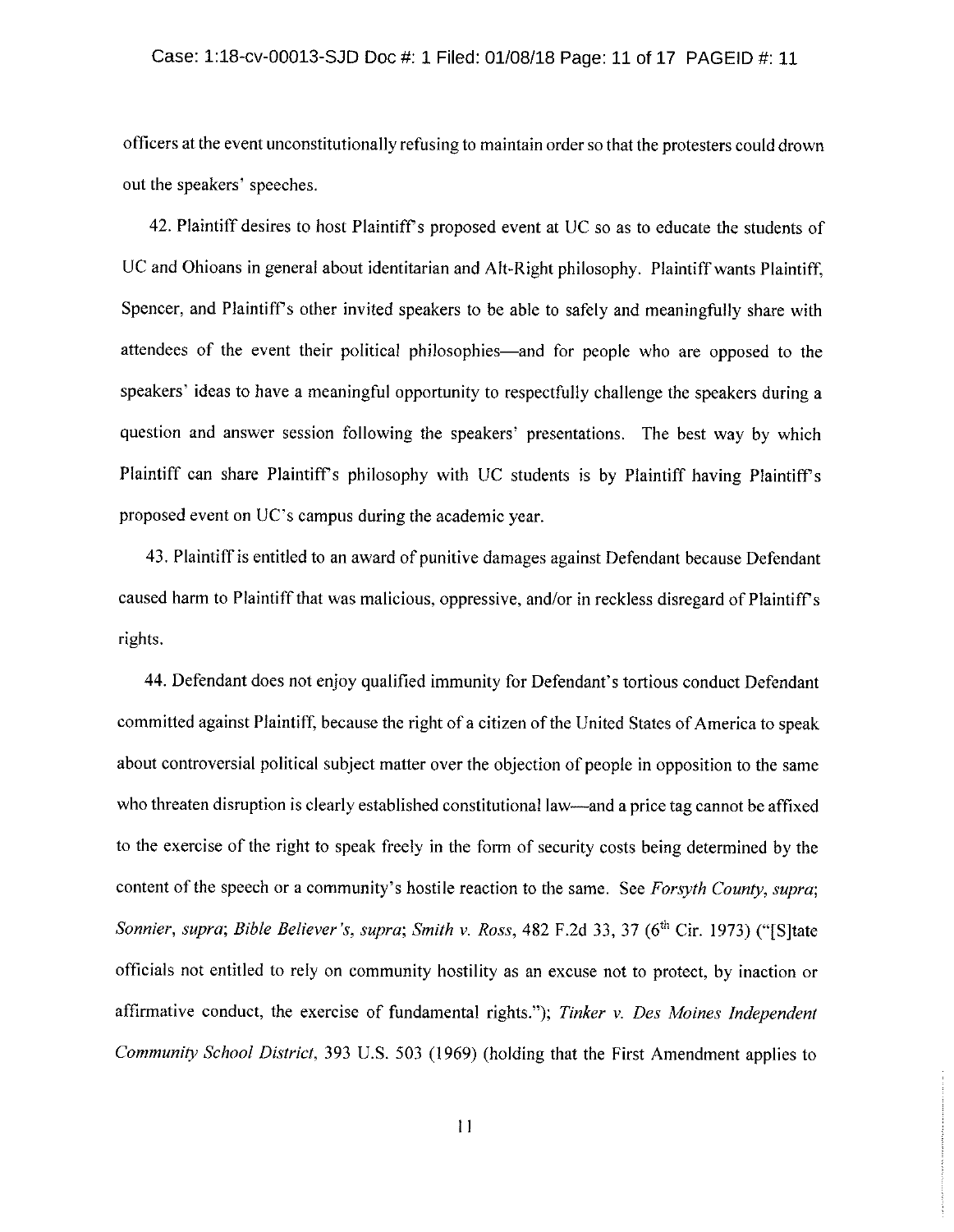#### Case: 1:18-cv-00013-SJD Doc #: 1 Filed: 01/08/18 Page: 11 of 17 PAGEID #: 11

officers at the event unconstitutionally refusing to maintain order so that the protesters could drown out the speakers' speeches.

42. Plaintiff desires to host Plaintiff's proposed event at UC so as to educate the students of UC and Ohioans in general about identitarian and Alt-Right philosophy. Plaintiff wants Plaintiff, Spencer, and Plaintiff's other invited speakers to be able to safely and meaningfully share with attendees of the event their political philosophies—and for people who are opposed to the speakers' ideas to have a meaningful opportunity to respectfully challenge the speakers during a question and answer session following the speakers' presentations. The best way by which Plaintiff can share Plaintiff's philosophy with UC students is by Plaintiff having Plaintiff's proposed event on UC's campus during the academic year.

43. Plaintiff is entitled to an award of punitive damages against Defendant because Defendant caused harm to Plaintiff that was malicious, oppressive, and/or in reckless disregard of Plaintiff's rights.

44. Defendant does not enjoy qualified immunity for Defendant's tortious conduct Defendant committed against Plaintiff, because the right of a citizen of the United States of America to speak about controversial political subject matter over the objection of people in opposition to the same who threaten disruption is clearly established constitutional law—and a price tag cannot be affixed to the exercise of the right to speak freely in the form of security costs being determined by the content of the speech or a community's hostile reaction to the same. See Forsyth County, supra; Sonnier, supra; Bible Believer's, supra; Smith v. Ross, 482 F.2d 33, 37 (6<sup>th</sup> Cir. 1973) ("[S]tate officials not entitled to rely on community hostility as an excuse not to protect, by inaction or affirmative conduct, the exercise of fundamental rights."); Tinker  $v$ . Des Moines Independent Community School District, 393 U.S. 503 (1969) (holding that the First Amendment applies to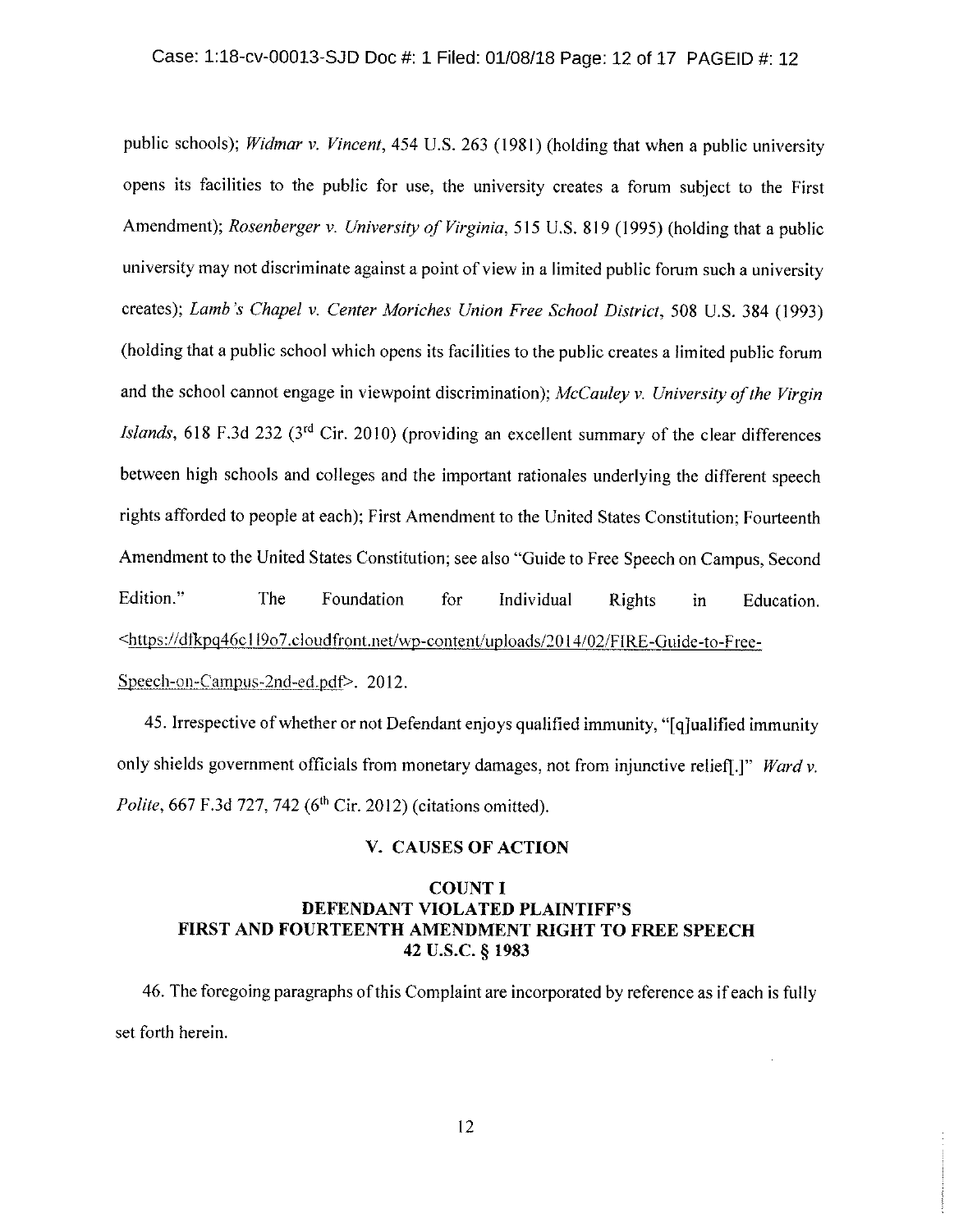public schools); Widmar v. Vincent, 454 U.S. 263 (1981) (holding that when a public university opens its facilities to the public for use, the university creates a forum subject to the First Amendment); *Rosenberger v. University of Virginia*, 515 U.S. 819 (1995) (holding that a public university may not discriminate against a point of view in a limited public forum such a university creates); Lamb's Chapel v. Center Moriches Union Free School District, 508 U.S. 384 (1993) (holding that a public school which opens its facilities to the public creates a limited public forum and the school cannot engage in viewpoint discrimination); McCauley v. University of the Virgin *Islands*, 618 F.3d 232 ( $3<sup>rd</sup>$  Cir. 2010) (providing an excellent summary of the clear differences between high schools and colleges and the important rationales underlying the different speech rights afforded to people at each); First Amendment to the United States Constitution; Fourteenth Amendment to the United States Constitution; see also "Guide to Free Speech on Campus, Second Edition." The Foundation for Individual Rights in Education. <https://dfkpq46c1l9o7.cloudfront.net/wp-content/uploads/2014/02/FIRE-Guide-to-Free-Speech-on-Campus-2nd-ed.pdf>.  $2012$ .

45. Irrespective of whether or not Defendant enjoys qualified immunity, "[q]ualified immunity only shields government officials from monetary damages, not from injunctive relief[.]" Ward v. Polite, 667 F.3d 727, 742 (6<sup>th</sup> Cir. 2012) (citations omitted).

### V. CAUSES OF ACTION

# **COUNT I** DEFENDANT VIOLATED PLAINTIFF'S FIRST AND FOURTEENTH AMENDMENT RIGHT TO FREE SPEECH 42 U.S.C. § 1983

46. The foregoing paragraphs of this Complaint are incorporated by reference as if each is fully set forth herein.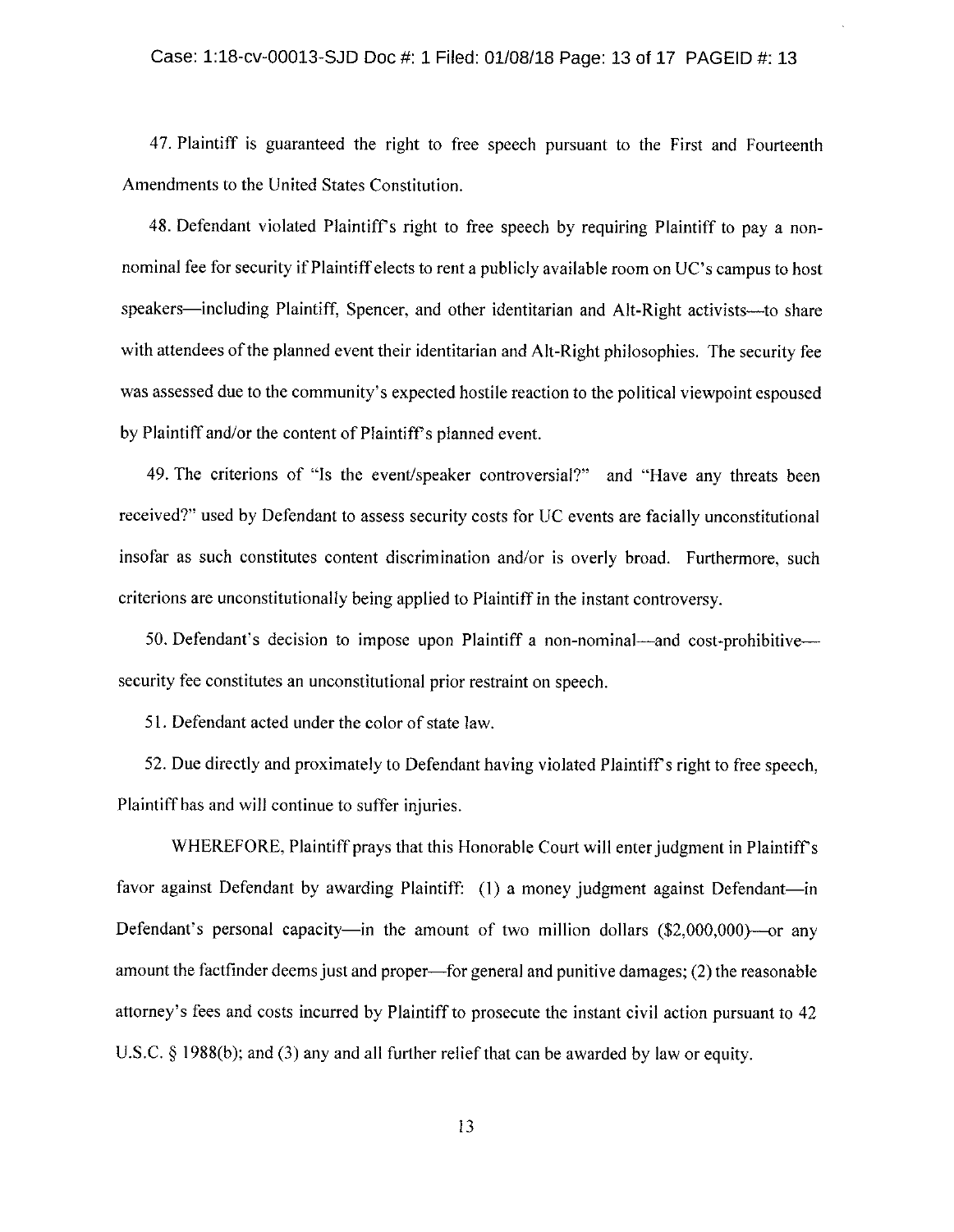47. Plaintiff is guaranteed the right to free speech pursuant to the First and Fourteenth Amendments to the United States Constitution.

48. Defendant violated Plaintiff's right to free speech by requiring Plaintiff to pay a nonnominal fee for security if Plaintiff elects to rent a publicly available room on UC's campus to host speakers—including Plaintiff, Spencer, and other identitarian and Alt-Right activists---to share with attendees of the planned event their identitarian and Alt-Right philosophies. The security fee was assessed due to the community's expected hostile reaction to the political viewpoint espoused by Plaintiff and/or the content of Plaintiff's planned event.

49. The criterions of "Is the event/speaker controversial?" and "Have any threats been received?" used by Defendant to assess security costs for UC events are facially unconstitutional insofar as such constitutes content discrimination and/or is overly broad. Furthermore, such criterions are unconstitutionally being applied to Plaintiff in the instant controversy.

50. Defendant's decision to impose upon Plaintiff a non-nominal—and cost-prohibitive security fee constitutes an unconstitutional prior restraint on speech.

51. Defendant acted under the color of state law.

52. Due directly and proximately to Defendant having violated Plaintiff's right to free speech, Plaintiff has and will continue to suffer injuries.

WHEREFORE, Plaintiff prays that this Honorable Court will enter judgment in Plaintiff's favor against Defendant by awarding Plaintiff: (1) a money judgment against Defendant—in Defendant's personal capacity—in the amount of two million dollars  $(\$2,000,000)$ —or any amount the factfinder deems just and proper—for general and punitive damages; (2) the reasonable attorney's fees and costs incurred by Plaintiff to prosecute the instant civil action pursuant to 42 U.S.C.  $\S$  1988(b); and (3) any and all further relief that can be awarded by law or equity.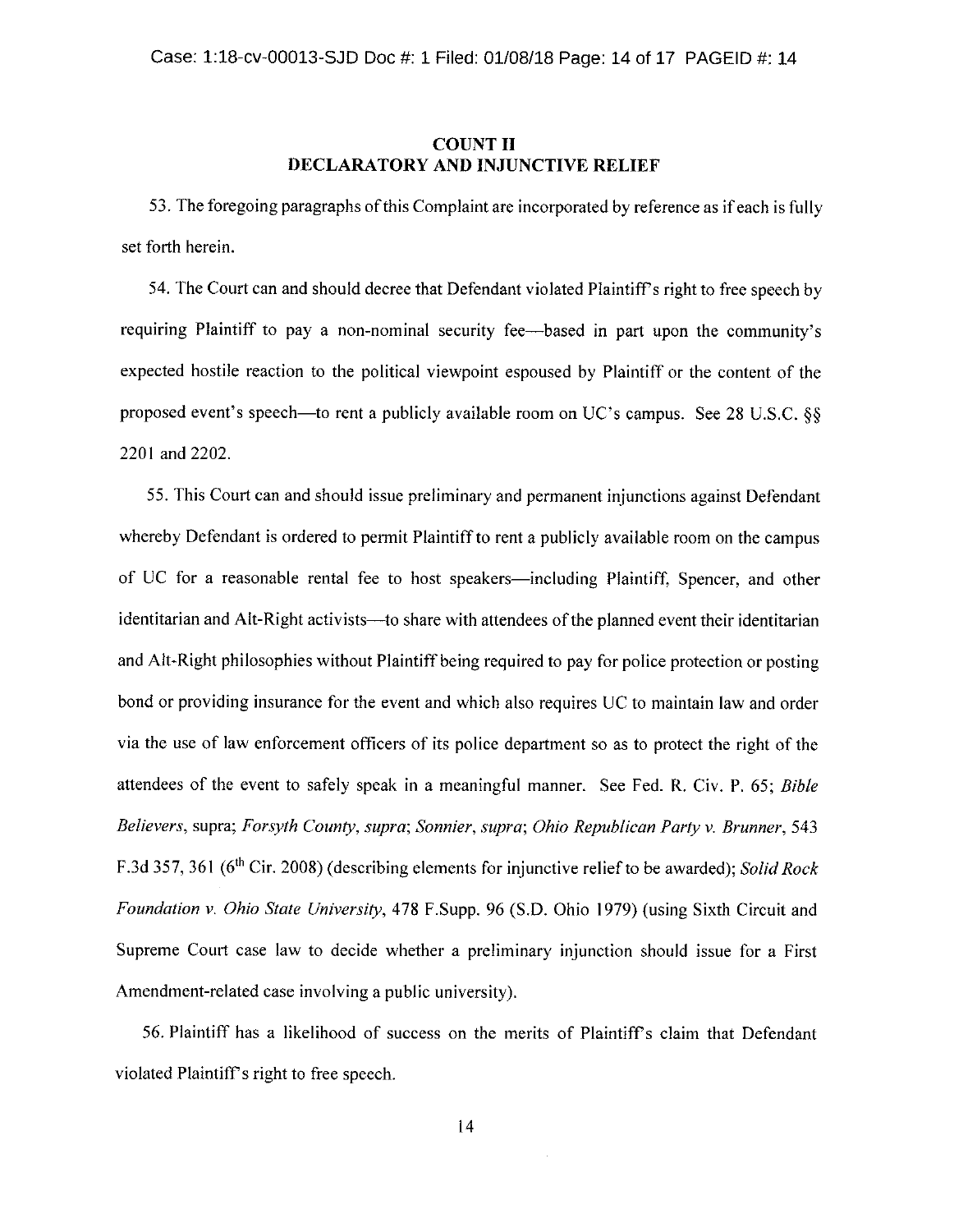### **COUNT II DECLARATORY AND INJUNCTIVE RELIEF**

53. The foregoing paragraphs of this Complaint are incorporated by reference as if each is fully set forth herein.

54. The Court can and should decree that Defendant violated Plaintiff's right to free speech by requiring Plaintiff to pay a non-nominal security fee—based in part upon the community's expected hostile reaction to the political viewpoint espoused by Plaintiff or the content of the proposed event's speech—to rent a publicly available room on UC's campus. See 28 U.S.C. §§ 2201 and 2202.

55. This Court can and should issue preliminary and permanent injunctions against Defendant whereby Defendant is ordered to permit Plaintiff to rent a publicly available room on the campus of UC for a reasonable rental fee to host speakers—including Plaintiff, Spencer, and other identitarian and Alt-Right activists—to share with attendees of the planned event their identitarian and Alt-Right philosophies without Plaintiff being required to pay for police protection or posting bond or providing insurance for the event and which also requires UC to maintain law and order via the use of law enforcement officers of its police department so as to protect the right of the attendees of the event to safely speak in a meaningful manner. See Fed. R. Civ. P. 65; Bible Believers, supra; Forsyth County, supra; Sonnier, supra; Ohio Republican Party v. Brunner, 543 F.3d 357, 361 (6<sup>th</sup> Cir. 2008) (describing elements for injunctive relief to be awarded); Solid Rock Foundation v. Ohio State University, 478 F.Supp. 96 (S.D. Ohio 1979) (using Sixth Circuit and Supreme Court case law to decide whether a preliminary injunction should issue for a First Amendment-related case involving a public university).

56. Plaintiff has a likelihood of success on the merits of Plaintiff's claim that Defendant violated Plaintiff's right to free speech.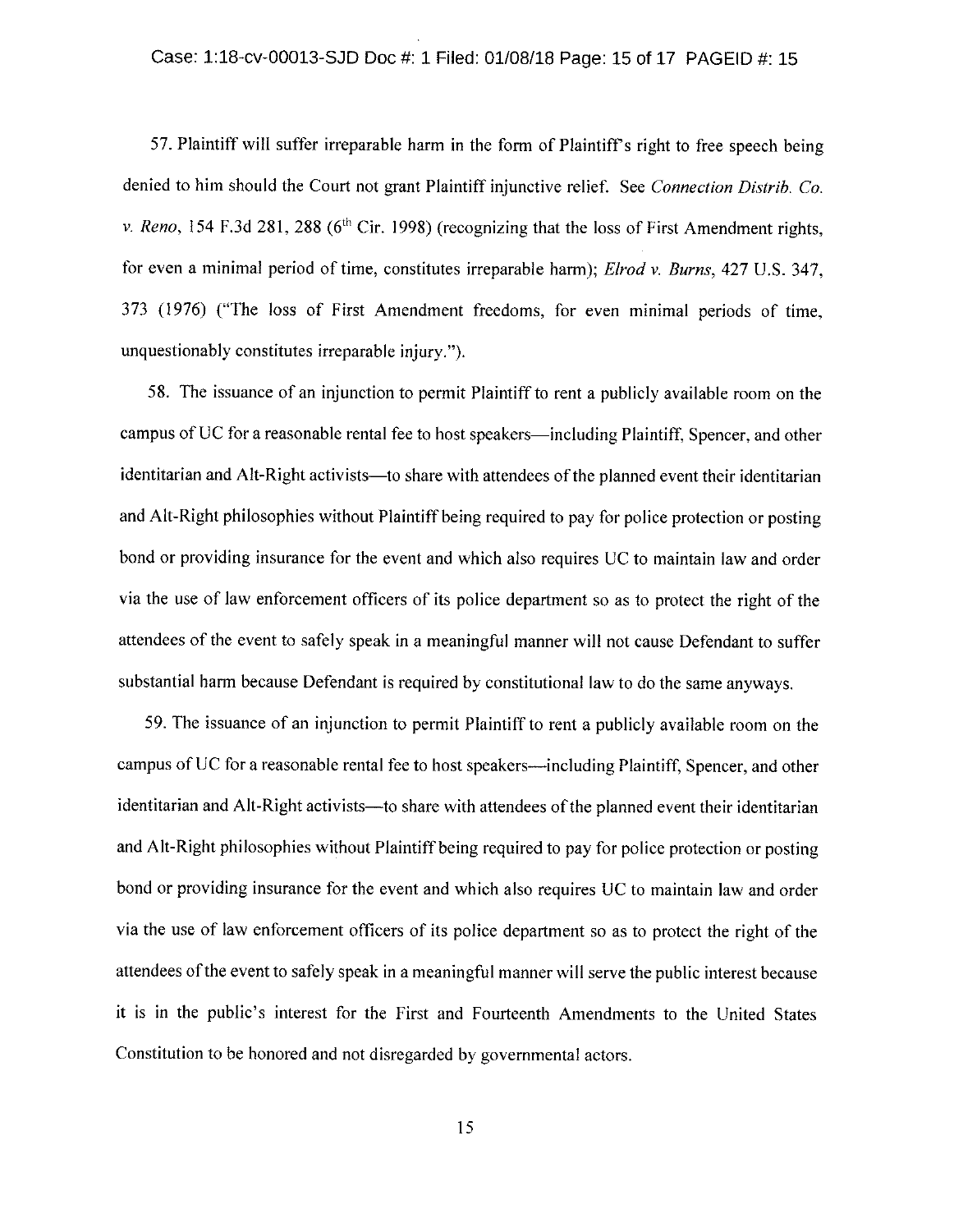57. Plaintiff will suffer irreparable harm in the form of Plaintiff's right to free speech being denied to him should the Court not grant Plaintiff injunctive relief. See Connection Distrib. Co. v. Reno, 154 F.3d 281, 288 ( $6<sup>th</sup>$  Cir. 1998) (recognizing that the loss of First Amendment rights, for even a minimal period of time, constitutes irreparable harm); Elrod v. Burns,  $427$  U.S. 347, 373 (1976) ("The loss of First Amendment freedoms, for even minimal periods of time, unquestionably constitutes irreparable injury.

58. The issuance of an injunction to permit Plaintiff to rent a publicly available room on the campus of UC for a reasonable rental fee to host speakers—including Plaintiff, Spencer, and other identitarian and Alt-Right activists—to share with attendees of the planned event their identitarian and Alt-Right philosophies without Plaintiff being required to pay for police protection or posting bond or providing insurance for the event and which also requires UC to maintain law and order via the use of law enforcement officers of its police department so as to protect the right of the attendees of the event to safely speak in a meaningful manner will not cause Defendant to suffer substantial harm because Defendant is required by constitutional law to do the same anyways.

59. The issuance of an injunction to permit Plaintiff to rent a publicly available room on the campus of UC for a reasonable rental fee to host speakers—including Plaintiff. Spencer, and other identitarian and Alt-Right activists—to share with attendees of the planned event their identitarian and Alt-Right philosophies without Plaintiff being required to pay for police protection or posting bond or providing insurance for the event and which also requires UC to maintain law and order via the use of law enforcement officers of its police department so as to protect the right of the attendees of the event to safely speak in a meaningful manner will serve the public interest because it is in the public's interest for the First and Fourteenth Amendments to the United States Constitution to be honored and not disregarded by governmental actors.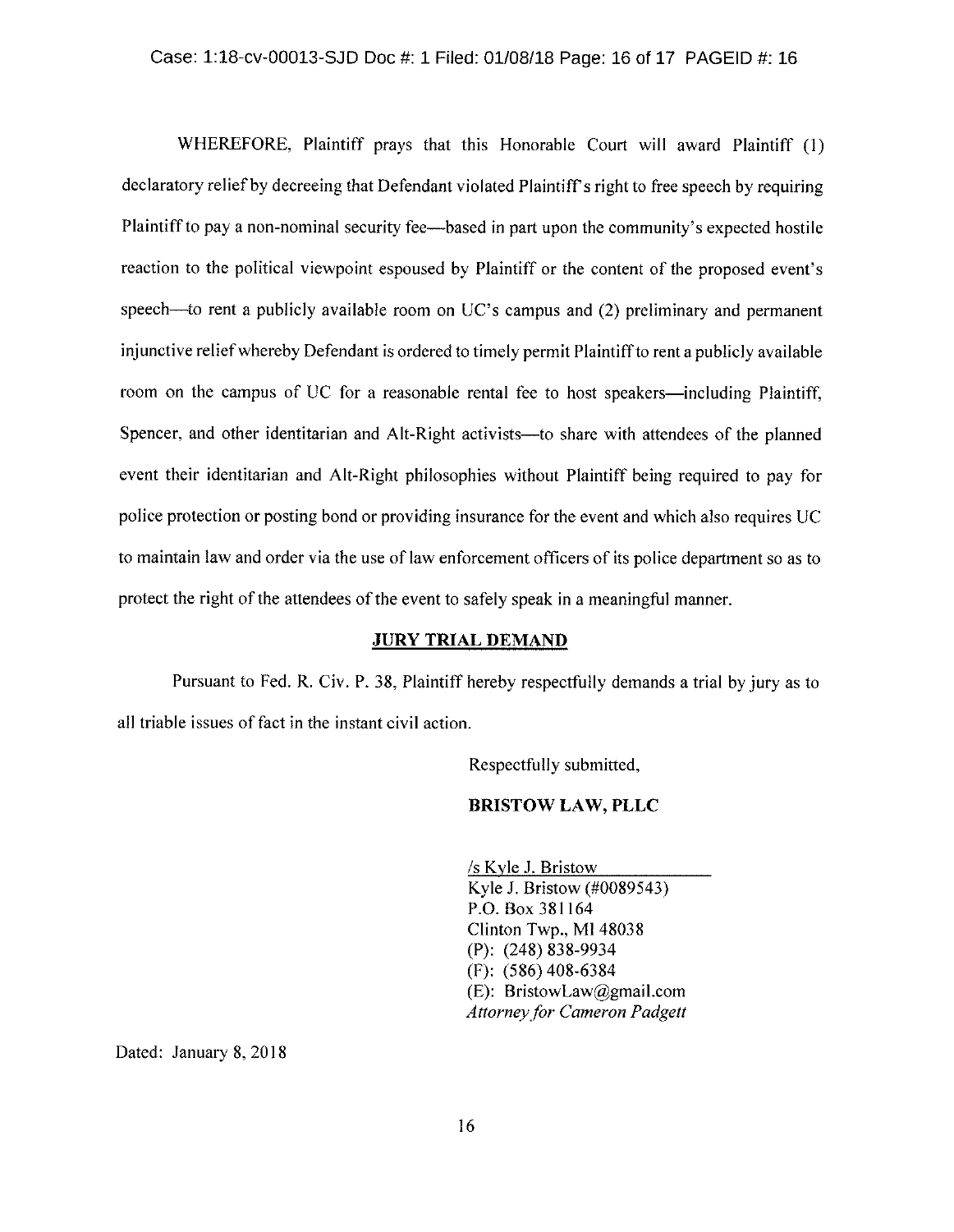WHEREFORE, Plaintiff prays that this Honorable Court will award Plaintiff  $(1)$ declaratory relief by decreeing that Defendant violated Plaintiff's right to free speech by requiring Plaintiff to pay a non-nominal security fee—based in part upon the community's expected hostile reaction to the political viewpoint espoused by Plaintiff or the content of the proposed event's speech—to rent a publicly available room on  $UC$ 's campus and  $(2)$  preliminary and permanent injunctive relief whereby Defendant is ordered to timely permit Plaintiff to rent a publicly available room on the campus of UC for a reasonable rental fee to host speakers—including Plaintiff, Spencer, and other identitarian and Alt-Right activists—to share with attendees of the planned event their identitarian and Alt-Right philosophies without Plaintiff being required to pay for police protection or posting bond or providing insurance for the event and which also requires UC to maintain law and order via the use of law enforcement officers of its police department so as to protect the right of the attendees of the event to safely speak in a meaningful manner.

### **JURY TRIAL DEMAND**

Pursuant to Fed. R. Civ. P. 38, Plaintiff hereby respectfully demands a trial by jury as to all triable issues of fact in the instant civil action.

Respectfully submitted,

### BRISTOW LAW, PLLC

 $\sqrt{s}$  Kyle J. Bristow Kyle J. Bristow (#0089543) P.O. Box 381164 Clinton Twp., MI 48038 (P): (248) 838-9934  $(F): (586)$  408-6384 (E): BristowLaw@gmail.com Attorney for Cameron Padgett

Dated: January 8, 2018